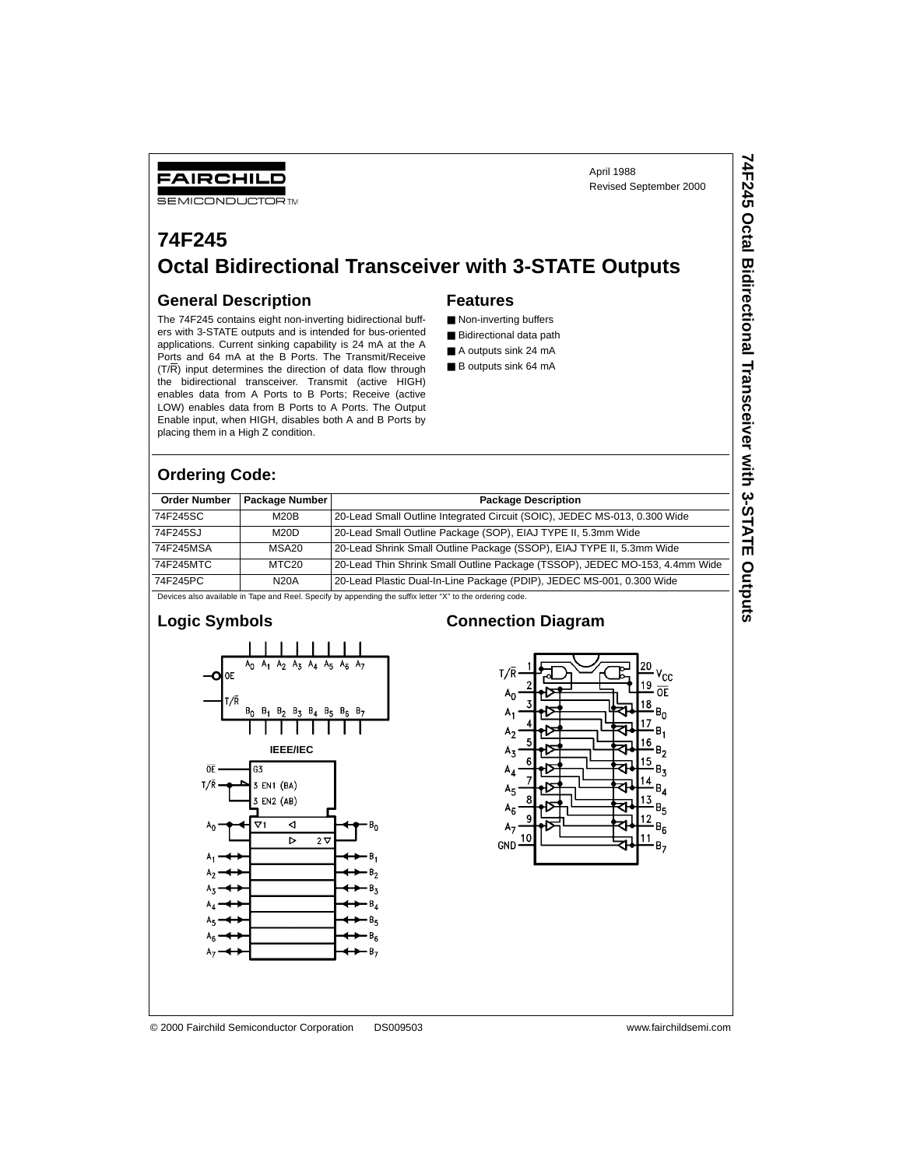April 1988 Revised September 2000 **74F245 Octal Bidirectional Transceiver with 3-STATE Outputs**

74F245 Octal Bidirectional Transceiver with 3-STATE Outputs

# **74F245 Octal Bidirectional Transceiver with 3-STATE Outputs**

#### **General Description**

FAIRCHILD **SEMICONDUCTOR TM** 

The 74F245 contains eight non-inverting bidirectional buffers with 3-STATE outputs and is intended for bus-oriented applications. Current sinking capability is 24 mA at the A Ports and 64 mA at the B Ports. The Transmit/Receive  $(T/R)$  input determines the direction of data flow through the bidirectional transceiver. Transmit (active HIGH) enables data from A Ports to B Ports; Receive (active LOW) enables data from B Ports to A Ports. The Output Enable input, when HIGH, disables both A and B Ports by placing them in a High Z condition.

#### **Features**

- Non-inverting buffers
- Bidirectional data path
- A outputs sink 24 mA
- B outputs sink 64 mA

#### **Ordering Code:**

| <b>Order Number</b> | Package Number | <b>Package Description</b>                                                  |
|---------------------|----------------|-----------------------------------------------------------------------------|
| 74F245SC            | M20B           | 20-Lead Small Outline Integrated Circuit (SOIC), JEDEC MS-013, 0.300 Wide   |
| 74F245SJ            | M20D           | 20-Lead Small Outline Package (SOP), EIAJ TYPE II, 5.3mm Wide               |
| 74F245MSA           | MSA20          | 20-Lead Shrink Small Outline Package (SSOP), EIAJ TYPE II, 5.3mm Wide       |
| 74F245MTC           | MTC20          | 20-Lead Thin Shrink Small Outline Package (TSSOP), JEDEC MO-153, 4.4mm Wide |
| 74F245PC            | <b>N20A</b>    | 20-Lead Plastic Dual-In-Line Package (PDIP), JEDEC MS-001, 0.300 Wide       |

Devices also available in Tape and Reel. Specify by appending the suffix letter "X" to the ordering code.





#### **Connection Diagram**



© 2000 Fairchild Semiconductor Corporation DS009503 www.fairchildsemi.com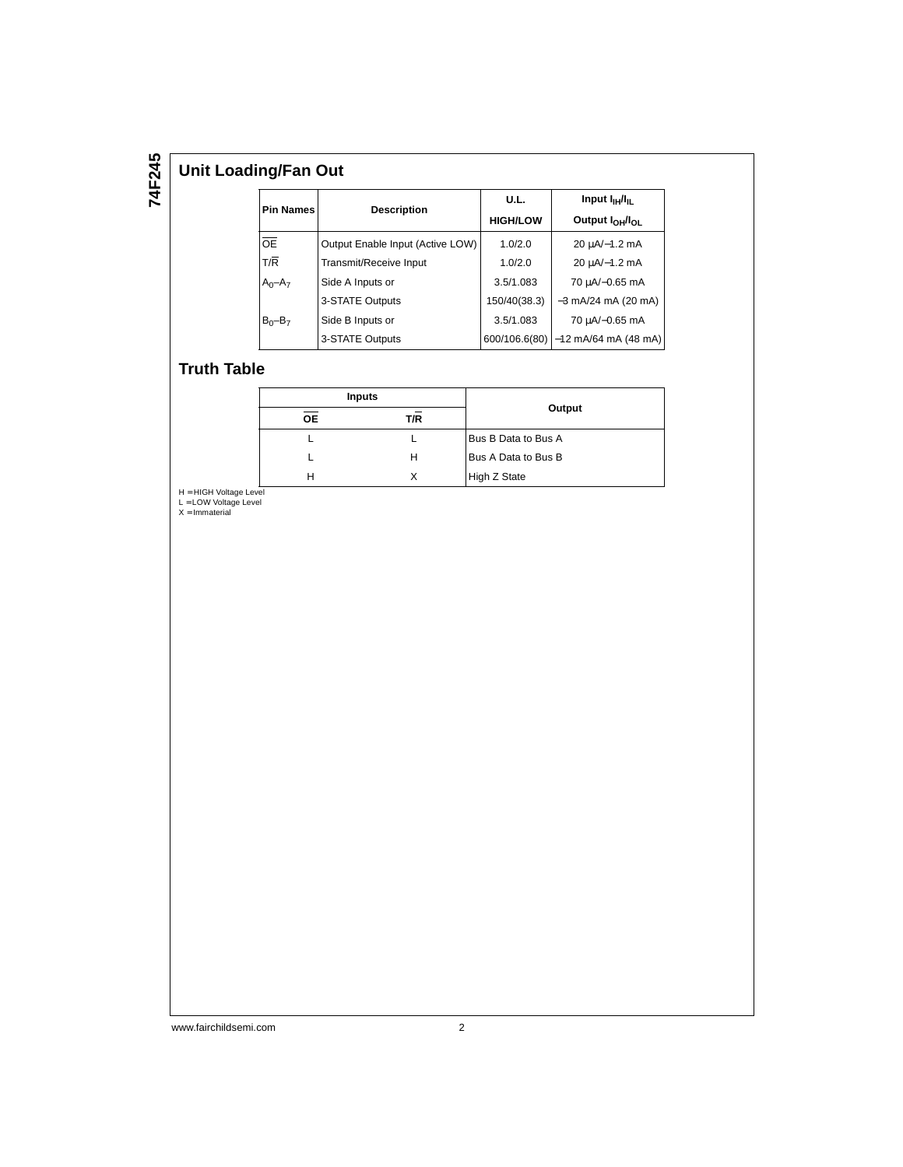## **Unit Loading/Fan Out**

|                  |                                  | U.L.            | Input $I_{\text{H}}/I_{\text{H}}$       |  |
|------------------|----------------------------------|-----------------|-----------------------------------------|--|
| <b>Pin Names</b> | <b>Description</b>               | <b>HIGH/LOW</b> | Output I <sub>OH</sub> /I <sub>OL</sub> |  |
| OE               | Output Enable Input (Active LOW) | 1.0/2.0         | 20 µA/-1.2 mA                           |  |
| T/R              | Transmit/Receive Input           | 1.0/2.0         | 20 µA/-1.2 mA                           |  |
| $A_0 - A_7$      | Side A Inputs or                 | 3.5/1.083       | 70 uA/-0.65 mA                          |  |
|                  | 3-STATE Outputs                  | 150/40(38.3)    | $-3$ mA/24 mA (20 mA)                   |  |
| $B_0 - B_7$      | Side B Inputs or                 | 3.5/1.083       | 70 uA/-0.65 mA                          |  |
|                  | 3-STATE Outputs                  | 600/106.6(80)   | $-12$ mA/64 mA (48 mA)                  |  |

#### **Truth Table**

| <b>Inputs</b> |     |                     |  |  |  |
|---------------|-----|---------------------|--|--|--|
| <b>OE</b>     | T/R | Output              |  |  |  |
|               |     | Bus B Data to Bus A |  |  |  |
|               | н   | Bus A Data to Bus B |  |  |  |
| н             |     | High Z State        |  |  |  |

H = HIGH Voltage Level L = LOW Voltage Level X = Immaterial

www.fairchildsemi.com 2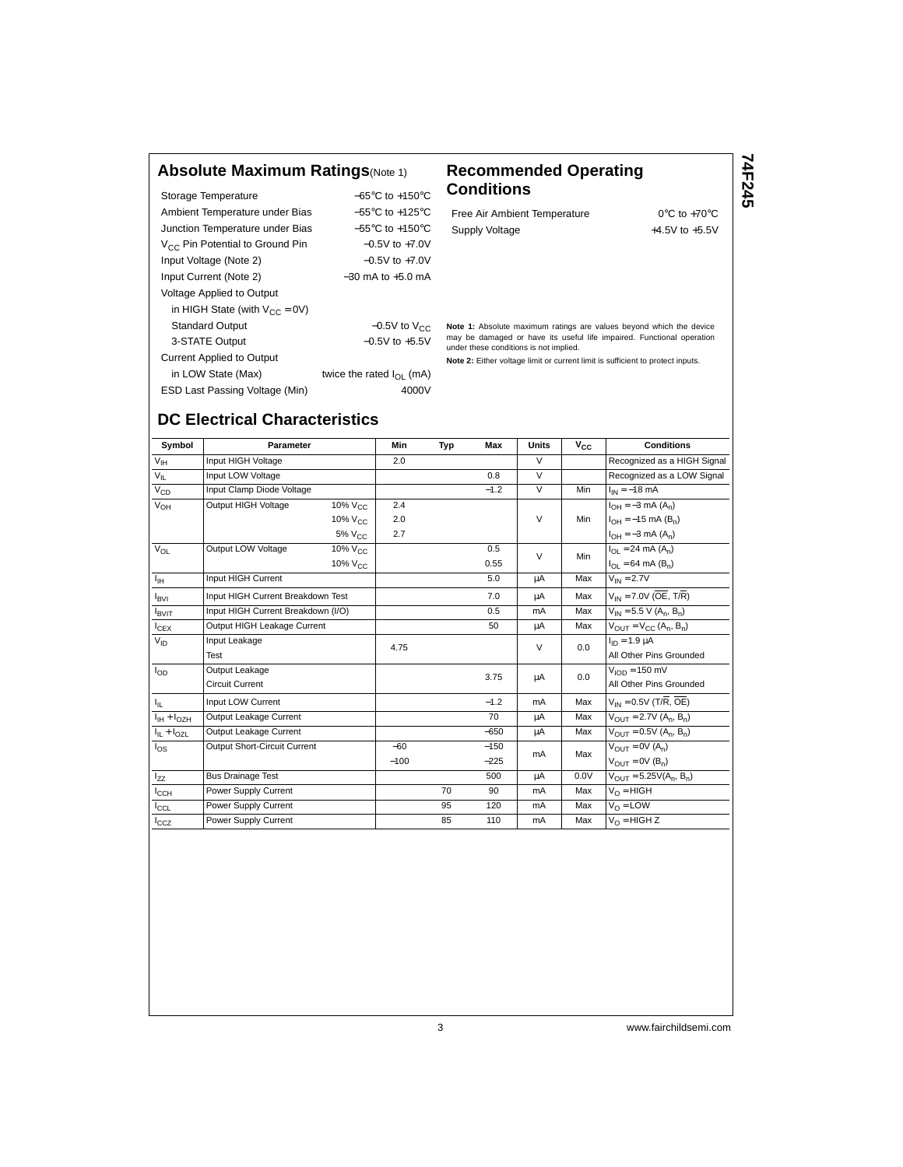#### **Absolute Maximum Ratings**(Note 1) **Recommended Operating**

| Storage Temperature                         | $-65^{\circ}$ C to $+150^{\circ}$ C |  |  |  |
|---------------------------------------------|-------------------------------------|--|--|--|
| Ambient Temperature under Bias              | $-55^{\circ}$ C to $+125^{\circ}$ C |  |  |  |
| Junction Temperature under Bias             | $-55^{\circ}$ C to $+150^{\circ}$ C |  |  |  |
| V <sub>CC</sub> Pin Potential to Ground Pin | $-0.5V$ to $+7.0V$                  |  |  |  |
| Input Voltage (Note 2)                      | $-0.5V$ to $+7.0V$                  |  |  |  |
| Input Current (Note 2)                      | $-30$ mA to $+5.0$ mA               |  |  |  |
| <b>Voltage Applied to Output</b>            |                                     |  |  |  |
| in HIGH State (with $V_{CC} = 0V$ )         |                                     |  |  |  |
| <b>Standard Output</b>                      | $-0.5V$ to $V_{CC}$                 |  |  |  |
| 3-STATE Output                              | $-0.5V$ to $+5.5V$                  |  |  |  |
| <b>Current Applied to Output</b>            |                                     |  |  |  |
| in LOW State (Max)                          | twice the rated $I_{\Omega}$ (mA)   |  |  |  |
| ESD Last Passing Voltage (Min)              | 4000V                               |  |  |  |

# **Conditions**

Free Air Ambient Temperature 0°C to +70°C Supply Voltage  $+4.5V$  to  $+5.5V$  **74F245**

**Note 1:** Absolute maximum ratings are values beyond which the device may be damaged or have its useful life impaired. Functional operation under these conditions is not implied.

**Note 2:** Either voltage limit or current limit is sufficient to protect inputs.

## **DC Electrical Characteristics**

| Symbol             | Parameter                          |                        | Min   | Typ    | <b>Max</b>          | <b>Units</b>            | $V_{CC}$        | <b>Conditions</b>                                    |
|--------------------|------------------------------------|------------------------|-------|--------|---------------------|-------------------------|-----------------|------------------------------------------------------|
| V <sub>IH</sub>    | Input HIGH Voltage                 |                        | 2.0   |        |                     | $\vee$                  |                 | Recognized as a HIGH Signal                          |
| $V_{IL}$           | Input LOW Voltage                  |                        |       |        | 0.8                 | $\overline{V}$          |                 | Recognized as a LOW Signal                           |
| $V_{CD}$           | Input Clamp Diode Voltage          |                        |       |        | $-1.2$              | $\overline{V}$          | Min             | $I_{IN} = -18$ mA                                    |
| $V_{OH}$           | Output HIGH Voltage                | 10% V <sub>CC</sub>    | 2.4   |        |                     |                         |                 | $I_{OH} = -3 \text{ mA} (A_n)$                       |
|                    |                                    | $10\%$ V <sub>CC</sub> | 2.0   |        |                     | $\vee$                  | Min             | $I_{OH} = -15$ mA (B <sub>n</sub> )                  |
|                    |                                    | 5% V <sub>CC</sub>     | 2.7   |        |                     |                         |                 | $I_{OH} = -3$ mA $(A_n)$                             |
| $V_{OL}$           | Output LOW Voltage                 | $10\%$ $V_{C}$         |       |        | 0.5                 | V                       | Min             | $I_{\Omega I}$ = 24 mA (A <sub>n</sub> )             |
|                    |                                    | 10% V <sub>CC</sub>    |       |        | 0.55                |                         |                 | $I_{\Omega I} = 64 \text{ mA} (B_n)$                 |
| $I_{\rm IH}$       | Input HIGH Current                 |                        |       |        | 5.0                 | μA                      | Max             | $V_{IN} = 2.7V$                                      |
| $I_{\text{BVI}}$   | Input HIGH Current Breakdown Test  |                        |       |        | 7.0                 | μA                      | Max             | $V_{IN}$ = 7.0V (OE, T/R)                            |
| <b>IBVIT</b>       | Input HIGH Current Breakdown (I/O) |                        |       |        | 0.5                 | mA                      | Max             | $V_{IN}$ = 5.5 V (A <sub>n</sub> , B <sub>n</sub> )  |
| $I_{CEX}$          | Output HIGH Leakage Current        |                        |       |        | 50                  | μA                      | Max             | $V_{OUIT} = V_{CC} (A_n, B_n)$                       |
| $V_{ID}$           | Input Leakage                      |                        | 4.75  |        |                     | V                       | 0.0             | $I_{ID} = 1.9 \mu A$                                 |
|                    | Test                               |                        |       |        |                     | All Other Pins Grounded |                 |                                                      |
| $I_{OD}$           | Output Leakage                     |                        |       | 3.75   | μA                  | 0.0                     | $VION = 150 mV$ |                                                      |
|                    | <b>Circuit Current</b>             |                        |       |        |                     |                         |                 | All Other Pins Grounded                              |
| Ιı.                | <b>Input LOW Current</b>           |                        |       |        | $-1.2$              | mA                      | Max             | $V_{IN}$ = 0.5V (T/R, OE)                            |
| $I_{IH} + I_{OZH}$ | Output Leakage Current             |                        |       |        | 70                  | μA                      | Max             | $V_{OIII}$ = 2.7V (A <sub>n</sub> , B <sub>n</sub> ) |
| $I_{IL} + I_{OZL}$ | Output Leakage Current             |                        |       |        | $-650$              | μA                      | Max             | $V_{OIII} = 0.5V (A_n, B_n)$                         |
| $I_{OS}$           | Output Short-Circuit Current       |                        | $-60$ |        | $-150$              | mA                      | Max             | $V_{\text{OUT}} = 0V(\overline{A_n})$                |
|                    |                                    | $-100$                 |       | $-225$ | $V_{OIII} = 0V(Bn)$ |                         |                 |                                                      |
| $I_{ZZ}$           | <b>Bus Drainage Test</b>           |                        |       |        | 500                 | μA                      | 0.0V            | $V_{OIII} = 5.25V(A_n, B_n)$                         |
| $I_{\rm CCH}$      | Power Supply Current               |                        |       | 70     | 90                  | mA                      | Max             | $V_O = HIGH$                                         |
| $I_{\rm CCL}$      | Power Supply Current               |                        |       | 95     | 120                 | mA                      | Max             | $V_{\Omega}$ = LOW                                   |
| $I_{CCZ}$          | Power Supply Current               |                        |       | 85     | 110                 | mA                      | Max             | $V_0$ = HIGH Z                                       |